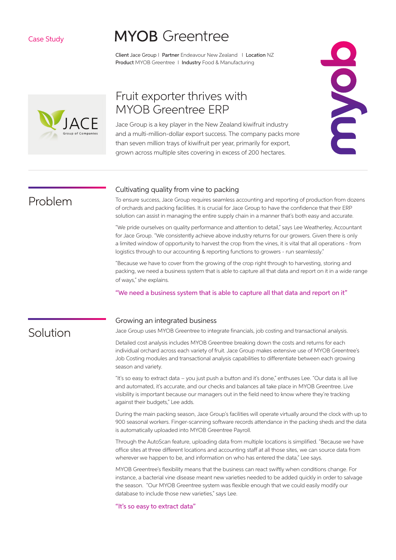### Case Study

# **MYOB** Greentree

Client Jace Group I Partner Endeavour New Zealand I Location NZ Product MYOB Greentree | Industry Food & Manufacturing



# Fruit exporter thrives with MYOB Greentree ERP

Jace Group is a key player in the New Zealand kiwifruit industry and a multi-million-dollar export success. The company packs more than seven million trays of kiwifruit per year, primarily for export, grown across multiple sites covering in excess of 200 hectares.



# Problem

Solution

### Cultivating quality from vine to packing

To ensure success, Jace Group requires seamless accounting and reporting of production from dozens of orchards and packing facilities. It is crucial for Jace Group to have the confidence that their ERP solution can assist in managing the entire supply chain in a manner that's both easy and accurate.

"We pride ourselves on quality performance and attention to detail," says Lee Weatherley, Accountant for Jace Group. "We consistently achieve above industry returns for our growers. Given there is only a limited window of opportunity to harvest the crop from the vines, it is vital that all operations - from logistics through to our accounting & reporting functions to growers - run seamlessly."

"Because we have to cover from the growing of the crop right through to harvesting, storing and packing, we need a business system that is able to capture all that data and report on it in a wide range of ways," she explains.

#### "We need a business system that is able to capture all that data and report on it"

### Growing an integrated business

Jace Group uses MYOB Greentree to integrate financials, job costing and transactional analysis.

Detailed cost analysis includes MYOB Greentree breaking down the costs and returns for each individual orchard across each variety of fruit. Jace Group makes extensive use of MYOB Greentree's Job Costing modules and transactional analysis capabilities to differentiate between each growing season and variety.

"It's so easy to extract data – you just push a button and it's done," enthuses Lee. "Our data is all live and automated, it's accurate, and our checks and balances all take place in MYOB Greentree. Live visibility is important because our managers out in the field need to know where they're tracking against their budgets," Lee adds.

During the main packing season, Jace Group's facilities will operate virtually around the clock with up to 900 seasonal workers. Finger-scanning software records attendance in the packing sheds and the data is automatically uploaded into MYOB Greentree Payroll.

Through the AutoScan feature, uploading data from multiple locations is simplified. "Because we have office sites at three different locations and accounting staff at all those sites, we can source data from wherever we happen to be, and information on who has entered the data," Lee says.

MYOB Greentree's flexibility means that the business can react swiftly when conditions change. For instance, a bacterial vine disease meant new varieties needed to be added quickly in order to salvage the season. "Our MYOB Greentree system was flexible enough that we could easily modify our database to include those new varieties," says Lee.

"It's so easy to extract data"